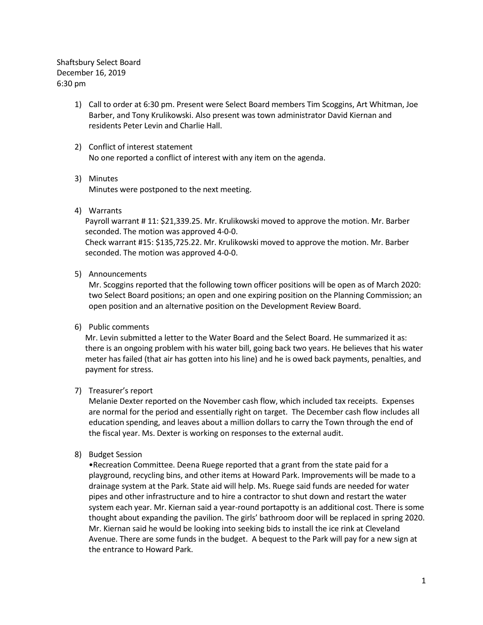Shaftsbury Select Board December 16, 2019 6:30 pm

- 1) Call to order at 6:30 pm. Present were Select Board members Tim Scoggins, Art Whitman, Joe Barber, and Tony Krulikowski. Also present was town administrator David Kiernan and residents Peter Levin and Charlie Hall.
- 2) Conflict of interest statement No one reported a conflict of interest with any item on the agenda.
- 3) Minutes

Minutes were postponed to the next meeting.

4) Warrants

Payroll warrant # 11: \$21,339.25. Mr. Krulikowski moved to approve the motion. Mr. Barber seconded. The motion was approved 4-0-0.

Check warrant #15: \$135,725.22. Mr. Krulikowski moved to approve the motion. Mr. Barber seconded. The motion was approved 4-0-0.

5) Announcements

Mr. Scoggins reported that the following town officer positions will be open as of March 2020: two Select Board positions; an open and one expiring position on the Planning Commission; an open position and an alternative position on the Development Review Board.

6) Public comments

Mr. Levin submitted a letter to the Water Board and the Select Board. He summarized it as: there is an ongoing problem with his water bill, going back two years. He believes that his water meter has failed (that air has gotten into his line) and he is owed back payments, penalties, and payment for stress.

## 7) Treasurer's report

Melanie Dexter reported on the November cash flow, which included tax receipts. Expenses are normal for the period and essentially right on target. The December cash flow includes all education spending, and leaves about a million dollars to carry the Town through the end of the fiscal year. Ms. Dexter is working on responses to the external audit.

8) Budget Session

•Recreation Committee. Deena Ruege reported that a grant from the state paid for a playground, recycling bins, and other items at Howard Park. Improvements will be made to a drainage system at the Park. State aid will help. Ms. Ruege said funds are needed for water pipes and other infrastructure and to hire a contractor to shut down and restart the water system each year. Mr. Kiernan said a year-round portapotty is an additional cost. There is some thought about expanding the pavilion. The girls' bathroom door will be replaced in spring 2020. Mr. Kiernan said he would be looking into seeking bids to install the ice rink at Cleveland Avenue. There are some funds in the budget. A bequest to the Park will pay for a new sign at the entrance to Howard Park.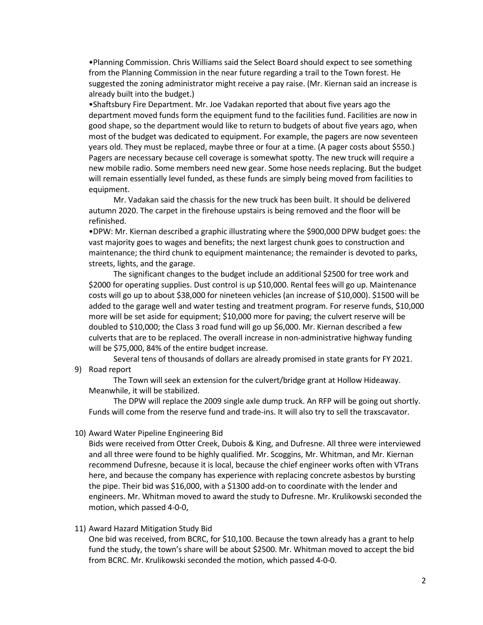•Planning Commission. Chris Williams said the Select Board should expect to see something from the Planning Commission in the near future regarding a trail to the Town forest. He suggested the zoning administrator might receive a pay raise. (Mr. Kiernan said an increase is already built into the budget.)

•Shaftsbury Fire Department. Mr. Joe Vadakan reported that about five years ago the department moved funds form the equipment fund to the facilities fund. Facilities are now in good shape, so the department would like to return to budgets of about five years ago, when most of the budget was dedicated to equipment. For example, the pagers are now seventeen years old. They must be replaced, maybe three or four at a time. (A pager costs about \$550.) Pagers are necessary because cell coverage is somewhat spotty. The new truck will require a new mobile radio. Some members need new gear. Some hose needs replacing. But the budget will remain essentially level funded, as these funds are simply being moved from facilities to equipment.

Mr. Vadakan said the chassis for the new truck has been built. It should be delivered autumn 2020. The carpet in the firehouse upstairs is being removed and the floor will be refinished.

•DPW: Mr. Kiernan described a graphic illustrating where the \$900,000 DPW budget goes: the vast majority goes to wages and benefits; the next largest chunk goes to construction and maintenance; the third chunk to equipment maintenance; the remainder is devoted to parks, streets, lights, and the garage.

The significant changes to the budget include an additional \$2500 for tree work and \$2000 for operating supplies. Dust control is up \$10,000. Rental fees will go up. Maintenance costs will go up to about \$38,000 for nineteen vehicles (an increase of \$10,000). \$1500 will be added to the garage well and water testing and treatment program. For reserve funds, \$10,000 more will be set aside for equipment; \$10,000 more for paving; the culvert reserve will be doubled to \$10,000; the Class 3 road fund will go up \$6,000. Mr. Kiernan described a few culverts that are to be replaced. The overall increase in non-administrative highway funding will be \$75,000, 84% of the entire budget increase.

Several tens of thousands of dollars are already promised in state grants for FY 2021. 9) Road report

The Town will seek an extension for the culvert/bridge grant at Hollow Hideaway. Meanwhile, it will be stabilized.

The DPW will replace the 2009 single axle dump truck. An RFP will be going out shortly. Funds will come from the reserve fund and trade-ins. It will also try to sell the traxscavator.

## 10) Award Water Pipeline Engineering Bid

Bids were received from Otter Creek, Dubois & King, and Dufresne. All three were interviewed and all three were found to be highly qualified. Mr. Scoggins, Mr. Whitman, and Mr. Kiernan recommend Dufresne, because it is local, because the chief engineer works often with VTrans here, and because the company has experience with replacing concrete asbestos by bursting the pipe. Their bid was \$16,000, with a \$1300 add-on to coordinate with the lender and engineers. Mr. Whitman moved to award the study to Dufresne. Mr. Krulikowski seconded the motion, which passed 4-0-0,

## 11) Award Hazard Mitigation Study Bid

One bid was received, from BCRC, for \$10,100. Because the town already has a grant to help fund the study, the town's share will be about \$2500. Mr. Whitman moved to accept the bid from BCRC. Mr. Krulikowski seconded the motion, which passed 4-0-0.